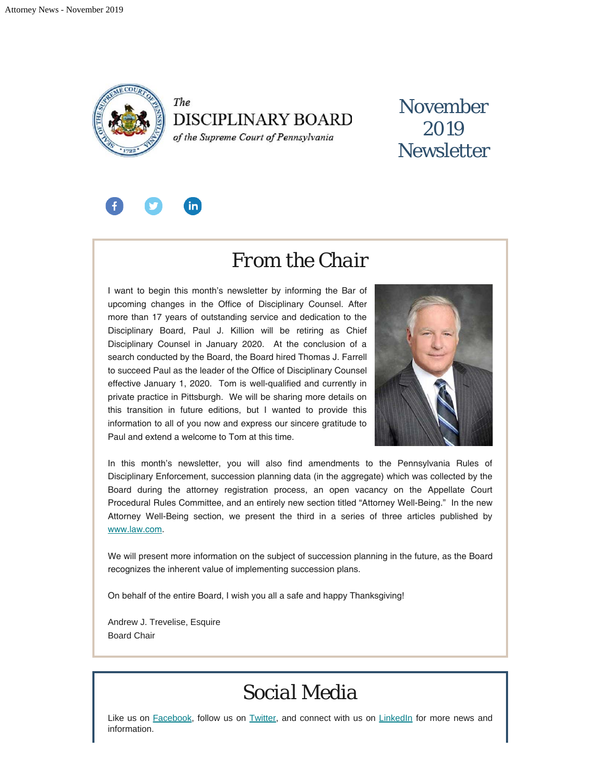

The **DISCIPLINARY BOARD** 

of the Supreme Court of Pennsylvania

## November 2019 **Newsletter**



### *From the Chair*

I want to begin this month's newsletter by informing the Bar of upcoming changes in the Office of Disciplinary Counsel. After more than 17 years of outstanding service and dedication to the Disciplinary Board, Paul J. Killion will be retiring as Chief Disciplinary Counsel in January 2020. At the conclusion of a search conducted by the Board, the Board hired Thomas J. Farrell to succeed Paul as the leader of the Office of Disciplinary Counsel effective January 1, 2020. Tom is well-qualified and currently in private practice in Pittsburgh. We will be sharing more details on this transition in future editions, but I wanted to provide this information to all of you now and express our sincere gratitude to Paul and extend a welcome to Tom at this time.



In this month's newsletter, you will also find amendments to the Pennsylvania Rules of Disciplinary Enforcement, succession planning data (in the aggregate) which was collected by the Board during the attorney registration process, an open vacancy on the Appellate Court Procedural Rules Committee, and an entirely new section titled "Attorney Well-Being." In the new Attorney Well-Being section, we present the third in a series of three articles published by [www.law.com.](http://www.law.com/)

We will present more information on the subject of succession planning in the future, as the Board recognizes the inherent value of implementing succession plans.

On behalf of the entire Board, I wish you all a safe and happy Thanksgiving!

Andrew J. Trevelise, Esquire Board Chair

## *Social Media*

Like us on [Facebook](https://www.facebook.com/DBoardPA), follow us on [Twitter,](https://twitter.com/DBoardPa) and connect with us on [LinkedIn](https://www.linkedin.com/company/pennsylvania-disciplinary-board/) for more news and information.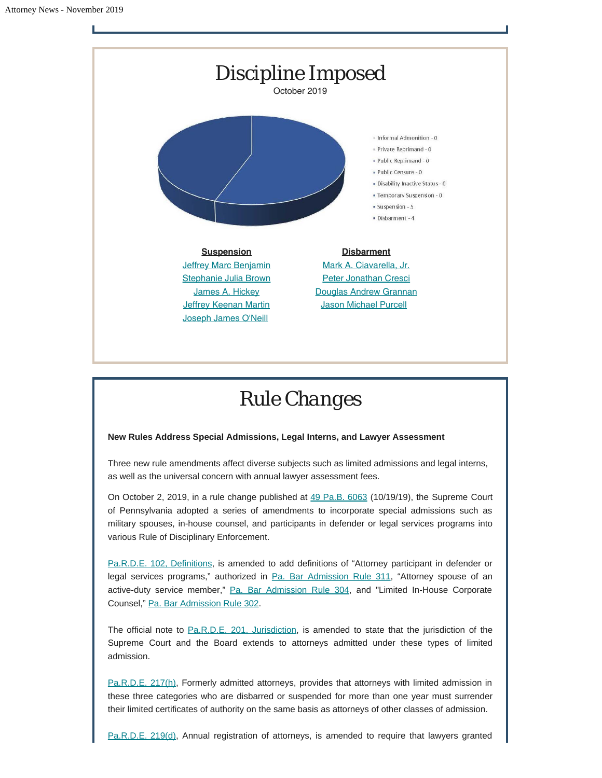

# *Rule Changes*

### **New Rules Address Special Admissions, Legal Interns, and Lawyer Assessment**

Three new rule amendments affect diverse subjects such as limited admissions and legal interns, as well as the universal concern with annual lawyer assessment fees.

On October 2, 2019, in a rule change published at  $49$  Pa.B. 6063 (10/19/19), the Supreme Court of Pennsylvania adopted a series of amendments to incorporate special admissions such as military spouses, in-house counsel, and participants in defender or legal services programs into various Rule of Disciplinary Enforcement.

[Pa.R.D.E. 102, Definitions,](https://www.padisciplinaryboard.org/for-attorneys/rules/rule/5/the-pennsylvania-rules-of-disciplinary-enforcement#rule-14) is amended to add definitions of "Attorney participant in defender or legal services programs," authorized in [Pa. Bar Admission Rule 311](http://www.pabarexam.org/bar_admission_rules/311.htm), "Attorney spouse of an active-duty service member," [Pa. Bar Admission Rule 304,](http://www.pabarexam.org/bar_admission_rules/304.htm) and "Limited In-House Corporate Counsel," [Pa. Bar Admission Rule 302](http://www.pabarexam.org/bar_admission_rules/302.htm).

The official note to [Pa.R.D.E. 201, Jurisdiction](https://www.padisciplinaryboard.org/for-attorneys/rules/rule/5/the-pennsylvania-rules-of-disciplinary-enforcement#rule-17), is amended to state that the jurisdiction of the Supreme Court and the Board extends to attorneys admitted under these types of limited admission.

[Pa.R.D.E. 217\(h\)](https://www.padisciplinaryboard.org/for-attorneys/rules/rule/5/#p-rule-304), Formerly admitted attorneys, provides that attorneys with limited admission in these three categories who are disbarred or suspended for more than one year must surrender their limited certificates of authority on the same basis as attorneys of other classes of admission.

[Pa.R.D.E. 219\(d\)](https://www.padisciplinaryboard.org/for-attorneys/rules/rule/5/#p-rule-377), Annual registration of attorneys, is amended to require that lawyers granted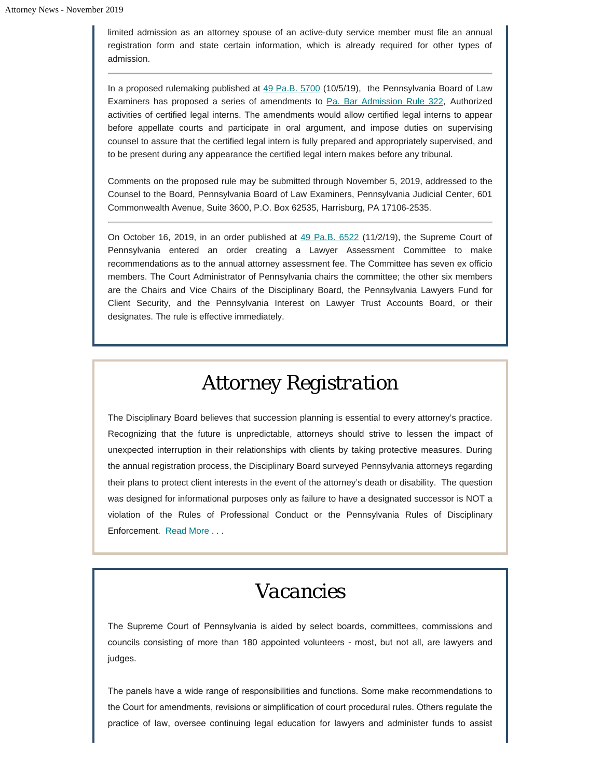limited admission as an attorney spouse of an active-duty service member must file an annual registration form and state certain information, which is already required for other types of admission.

In a proposed rulemaking published at [49 Pa.B. 5700](https://www.pabulletin.com/secure/data/vol49/49-40/1467.html) (10/5/19), the Pennsylvania Board of Law Examiners has proposed a series of amendments to [Pa. Bar Admission Rule 322,](http://www.pacodeandbulletin.gov/Display/pacode?file=/secure/pacode/data/204/chapter71/s322.html&d=reduce) Authorized activities of certified legal interns. The amendments would allow certified legal interns to appear before appellate courts and participate in oral argument, and impose duties on supervising counsel to assure that the certified legal intern is fully prepared and appropriately supervised, and to be present during any appearance the certified legal intern makes before any tribunal.

Comments on the proposed rule may be submitted through November 5, 2019, addressed to the Counsel to the Board, Pennsylvania Board of Law Examiners, Pennsylvania Judicial Center, 601 Commonwealth Avenue, Suite 3600, P.O. Box 62535, Harrisburg, PA 17106-2535.

On October 16, 2019, in an order published at [49 Pa.B. 6522](https://www.pabulletin.com/secure/data/vol49/49-44/1624.html) (11/2/19), the Supreme Court of Pennsylvania entered an order creating a Lawyer Assessment Committee to make recommendations as to the annual attorney assessment fee. The Committee has seven ex officio members. The Court Administrator of Pennsylvania chairs the committee; the other six members are the Chairs and Vice Chairs of the Disciplinary Board, the Pennsylvania Lawyers Fund for Client Security, and the Pennsylvania Interest on Lawyer Trust Accounts Board, or their designates. The rule is effective immediately.

# *Attorney Registration*

The Disciplinary Board believes that succession planning is essential to every attorney's practice. Recognizing that the future is unpredictable, attorneys should strive to lessen the impact of unexpected interruption in their relationships with clients by taking protective measures. During the annual registration process, the Disciplinary Board surveyed Pennsylvania attorneys regarding their plans to protect client interests in the event of the attorney's death or disability. The question was designed for informational purposes only as failure to have a designated successor is NOT a violation of the Rules of Professional Conduct or the Pennsylvania Rules of Disciplinary Enforcement. [Read More](https://www.padisciplinaryboard.org/news-media/news-article/1161/disciplinary-board-releases-succession-planning-data) . . .

## *Vacancies*

The Supreme Court of Pennsylvania is aided by select boards, committees, commissions and councils consisting of more than 180 appointed volunteers - most, but not all, are lawyers and judges.

The panels have a wide range of responsibilities and functions. Some make recommendations to the Court for amendments, revisions or simplification of court procedural rules. Others regulate the practice of law, oversee continuing legal education for lawyers and administer funds to assist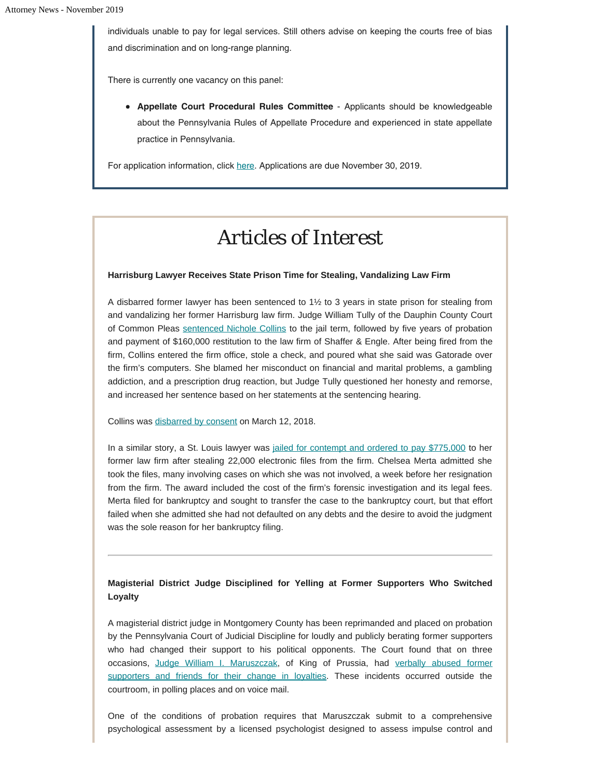individuals unable to pay for legal services. Still others advise on keeping the courts free of bias and discrimination and on long-range planning.

There is currently one vacancy on this panel:

**Appellate Court Procedural Rules Committee** - Applicants should be knowledgeable about the Pennsylvania Rules of Appellate Procedure and experienced in state appellate practice in Pennsylvania.

For application information, click [here](https://padisciplinaryboard.us17.list-manage.com/track/click?u=ee049de6282508bdb18171697&id=b9c12e055b&e=4ff025a853). Applications are due November 30, 2019.

## *Articles of Interest*

#### **Harrisburg Lawyer Receives State Prison Time for Stealing, Vandalizing Law Firm**

A disbarred former lawyer has been sentenced to 1½ to 3 years in state prison for stealing from and vandalizing her former Harrisburg law firm. Judge William Tully of the Dauphin County Court of Common Pleas [sentenced Nichole Collins](https://www.pennlive.com/news/2019/10/disbarred-attorney-gets-state-prison-for-stealing-from-vandalizing-her-former-east-shore-law-firm.html) to the jail term, followed by five years of probation and payment of \$160,000 restitution to the law firm of Shaffer & Engle. After being fired from the firm, Collins entered the firm office, stole a check, and poured what she said was Gatorade over the firm's computers. She blamed her misconduct on financial and marital problems, a gambling addiction, and a prescription drug reaction, but Judge Tully questioned her honesty and remorse, and increased her sentence based on her statements at the sentencing hearing.

Collins was [disbarred by consent](http://www.pacourts.us/assets/opinions/DisciplinaryBoard/out/207DB2017-Collins.pdf) on March 12, 2018.

In a similar story, a St. Louis lawyer was [jailed for contempt and ordered to pay \\$775,000](http://www.abajournal.com/news/article/lawyer-ordered-to-pay-775k-to-former-law-firm-for-failing-to-return-electronic-files) to her former law firm after stealing 22,000 electronic files from the firm. Chelsea Merta admitted she took the files, many involving cases on which she was not involved, a week before her resignation from the firm. The award included the cost of the firm's forensic investigation and its legal fees. Merta filed for bankruptcy and sought to transfer the case to the bankruptcy court, but that effort failed when she admitted she had not defaulted on any debts and the desire to avoid the judgment was the sole reason for her bankruptcy filing.

**Magisterial District Judge Disciplined for Yelling at Former Supporters Who Switched Loyalty**

A magisterial district judge in Montgomery County has been reprimanded and placed on probation by the Pennsylvania Court of Judicial Discipline for loudly and publicly berating former supporters who had changed their support to his political opponents. The Court found that on three occasions, [Judge William I. Maruszczak,](http://www.pacourts.us/assets/files/setting-6105/file-8022.pdf?cb=dcda07) of King of Prussia, had [verbally abused former](https://www.timesherald.com/news/district-judge-in-montco-reprimanded-by-judicial-conduct-board/article_e2600862-eb80-11e9-b069-6748b4f157a1.html) [supporters and friends for their change in loyalties](https://www.timesherald.com/news/district-judge-in-montco-reprimanded-by-judicial-conduct-board/article_e2600862-eb80-11e9-b069-6748b4f157a1.html). These incidents occurred outside the courtroom, in polling places and on voice mail.

One of the conditions of probation requires that Maruszczak submit to a comprehensive psychological assessment by a licensed psychologist designed to assess impulse control and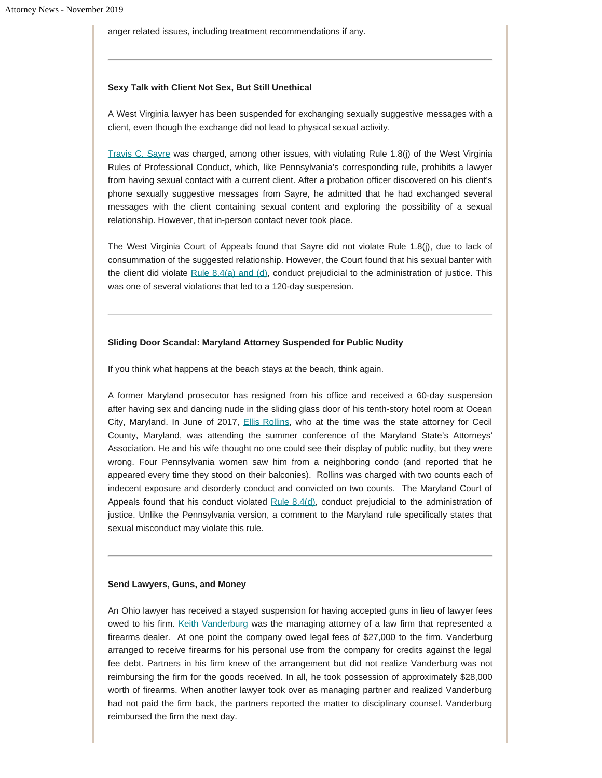anger related issues, including treatment recommendations if any.

#### **Sexy Talk with Client Not Sex, But Still Unethical**

A West Virginia lawyer has been suspended for exchanging sexually suggestive messages with a client, even though the exchange did not lead to physical sexual activity.

[Travis C. Sayre](http://www.courtswv.gov/supreme-court/docs/fall2019/18-0617.pdf) was charged, among other issues, with violating Rule 1.8(j) of the West Virginia Rules of Professional Conduct, which, like Pennsylvania's corresponding rule, prohibits a lawyer from having sexual contact with a current client. After a probation officer discovered on his client's phone sexually suggestive messages from Sayre, he admitted that he had exchanged several messages with the client containing sexual content and exploring the possibility of a sexual relationship. However, that in-person contact never took place.

The West Virginia Court of Appeals found that Sayre did not violate Rule 1.8(j), due to lack of consummation of the suggested relationship. However, the Court found that his sexual banter with the client did violate [Rule 8.4\(a\) and \(d\)](http://www.courtswv.gov/legal-community/court-rules/professional-conduct/rule8.html#rule8.4), conduct prejudicial to the administration of justice. This was one of several violations that led to a 120-day suspension.

#### **Sliding Door Scandal: Maryland Attorney Suspended for Public Nudity**

If you think what happens at the beach stays at the beach, think again.

A former Maryland prosecutor has resigned from his office and received a 60-day suspension after having sex and dancing nude in the sliding glass door of his tenth-story hotel room at Ocean City, Maryland. In June of 2017, **[Ellis Rollins](https://www.courts.state.md.us/data/opinions/coa/2019/13a19ag.pdf)**, who at the time was the state attorney for Cecil County, Maryland, was attending the summer conference of the Maryland State's Attorneys' Association. He and his wife thought no one could see their display of public nudity, but they were wrong. Four Pennsylvania women saw him from a neighboring condo (and reported that he appeared every time they stood on their balconies). Rollins was charged with two counts each of indecent exposure and disorderly conduct and convicted on two counts. The Maryland Court of Appeals found that his conduct violated [Rule 8.4\(d\),](https://govt.westlaw.com/mdc/Document/N37E367703C0211E69147B51246646F09?viewType=FullText&originationContext=documenttoc&transitionType=CategoryPageItem&contextData=(sc.Default)) conduct prejudicial to the administration of justice. Unlike the Pennsylvania version, a comment to the Maryland rule specifically states that sexual misconduct may violate this rule.

#### **Send Lawyers, Guns, and Money**

An Ohio lawyer has received a stayed suspension for having accepted guns in lieu of lawyer fees owed to his firm. [Keith Vanderburg](http://www.supremecourt.ohio.gov/rod/docs/pdf/0/2019/2019-Ohio-4227.pdf) was the managing attorney of a law firm that represented a firearms dealer. At one point the company owed legal fees of \$27,000 to the firm. Vanderburg arranged to receive firearms for his personal use from the company for credits against the legal fee debt. Partners in his firm knew of the arrangement but did not realize Vanderburg was not reimbursing the firm for the goods received. In all, he took possession of approximately \$28,000 worth of firearms. When another lawyer took over as managing partner and realized Vanderburg had not paid the firm back, the partners reported the matter to disciplinary counsel. Vanderburg reimbursed the firm the next day.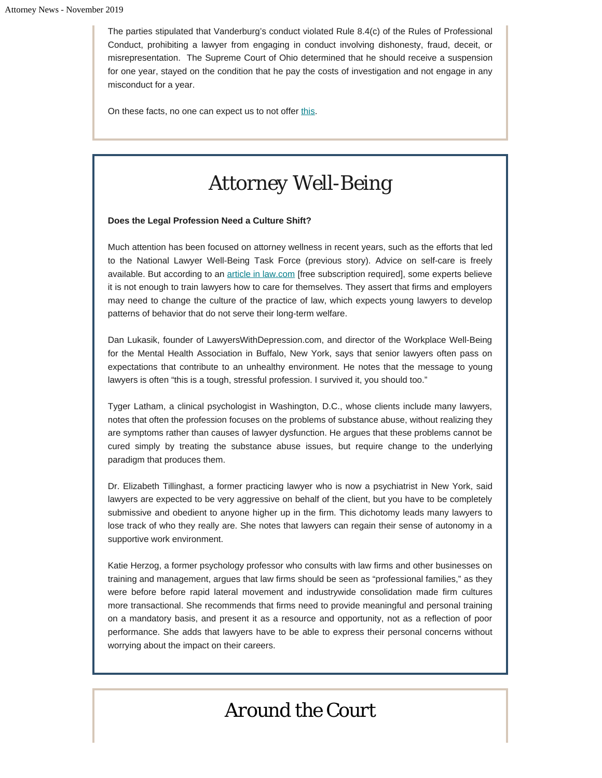The parties stipulated that Vanderburg's conduct violated Rule 8.4(c) of the Rules of Professional Conduct, prohibiting a lawyer from engaging in conduct involving dishonesty, fraud, deceit, or misrepresentation. The Supreme Court of Ohio determined that he should receive a suspension for one year, stayed on the condition that he pay the costs of investigation and not engage in any misconduct for a year.

On these facts, no one can expect us to not offer [this](https://www.youtube.com/watch?v=F2HH7J-Sx80).

# *Attorney Well-Being*

### **Does the Legal Profession Need a Culture Shift?**

Much attention has been focused on attorney wellness in recent years, such as the efforts that led to the National Lawyer Well-Being Task Force (previous story). Advice on self-care is freely available. But according to an [article in law.com](https://www.law.com/americanlawyer/2019/05/30/is-the-legal-industry-ready-for-a-culture-shift-on-mental-health/?kw=Is%20the%20Legal%20Industry%20Ready%20for%20a%20Culture%20Shift%20on%20Mental%20Health?&) [free subscription required], some experts believe it is not enough to train lawyers how to care for themselves. They assert that firms and employers may need to change the culture of the practice of law, which expects young lawyers to develop patterns of behavior that do not serve their long-term welfare.

Dan Lukasik, founder of LawyersWithDepression.com, and director of the Workplace Well-Being for the Mental Health Association in Buffalo, New York, says that senior lawyers often pass on expectations that contribute to an unhealthy environment. He notes that the message to young lawyers is often "this is a tough, stressful profession. I survived it, you should too."

Tyger Latham, a clinical psychologist in Washington, D.C., whose clients include many lawyers, notes that often the profession focuses on the problems of substance abuse, without realizing they are symptoms rather than causes of lawyer dysfunction. He argues that these problems cannot be cured simply by treating the substance abuse issues, but require change to the underlying paradigm that produces them.

Dr. Elizabeth Tillinghast, a former practicing lawyer who is now a psychiatrist in New York, said lawyers are expected to be very aggressive on behalf of the client, but you have to be completely submissive and obedient to anyone higher up in the firm. This dichotomy leads many lawyers to lose track of who they really are. She notes that lawyers can regain their sense of autonomy in a supportive work environment.

Katie Herzog, a former psychology professor who consults with law firms and other businesses on training and management, argues that law firms should be seen as "professional families," as they were before before rapid lateral movement and industrywide consolidation made firm cultures more transactional. She recommends that firms need to provide meaningful and personal training on a mandatory basis, and present it as a resource and opportunity, not as a reflection of poor performance. She adds that lawyers have to be able to express their personal concerns without worrying about the impact on their careers.

# *Around the Court*